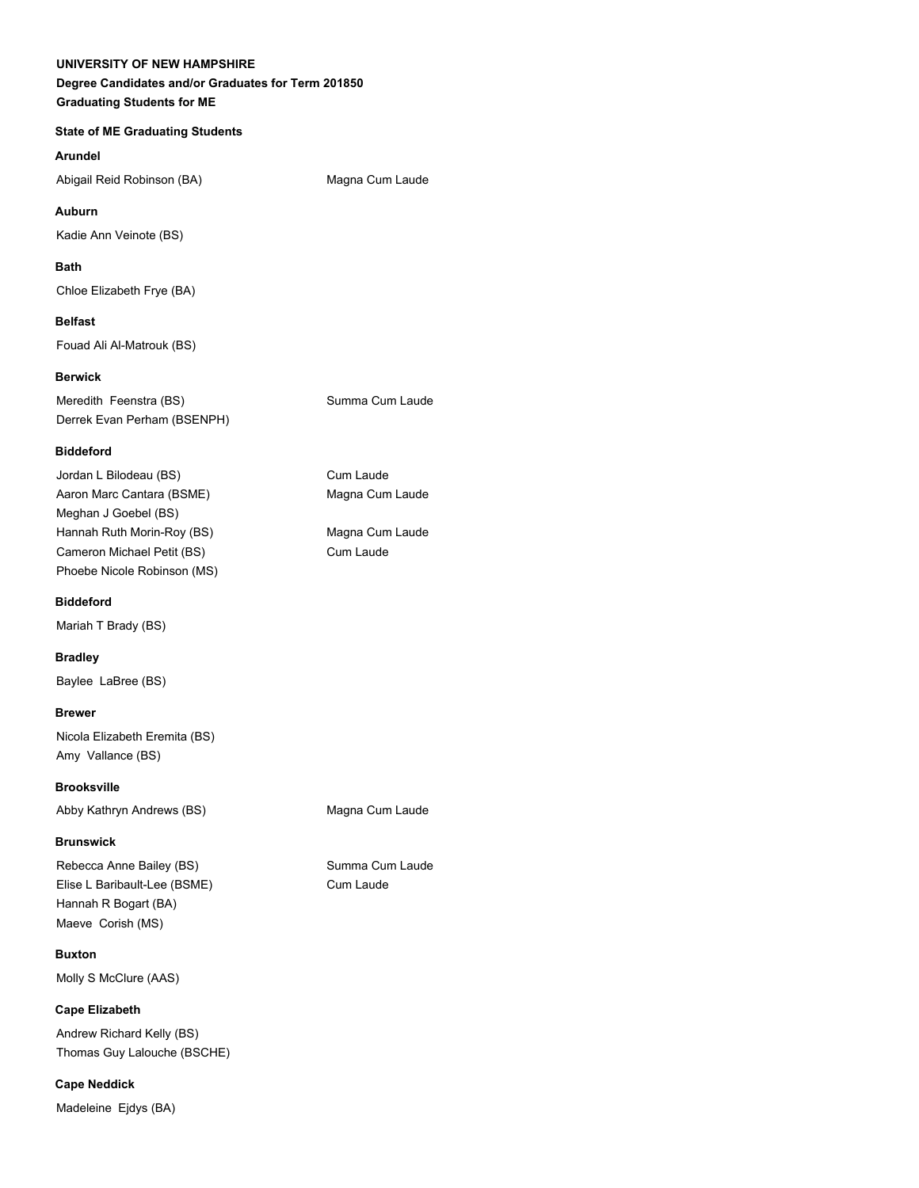#### **UNIVERSITY OF NEW HAMPSHIRE**

# **Degree Candidates and/or Graduates for Term 201850 Graduating Students for ME**

# **State of ME Graduating Students**

**Arundel**

Abigail Reid Robinson (BA) Magna Cum Laude

**Auburn** Kadie Ann Veinote (BS)

**Bath**

Chloe Elizabeth Frye (BA)

# **Belfast**

Fouad Ali Al-Matrouk (BS)

#### **Berwick**

Meredith Feenstra (BS) Summa Cum Laude Derrek Evan Perham (BSENPH)

#### **Biddeford**

Jordan L Bilodeau (BS) Cum Laude Aaron Marc Cantara (BSME) Magna Cum Laude Meghan J Goebel (BS) Hannah Ruth Morin-Roy (BS) Magna Cum Laude Cameron Michael Petit (BS) Cum Laude Phoebe Nicole Robinson (MS)

#### **Biddeford**

Mariah T Brady (BS)

**Bradley** Baylee LaBree (BS)

# **Brewer**

Nicola Elizabeth Eremita (BS) Amy Vallance (BS)

**Brooksville** Abby Kathryn Andrews (BS) Magna Cum Laude

# **Brunswick**

Elise L Baribault-Lee (BSME) Cum Laude Hannah R Bogart (BA) Maeve Corish (MS)

**Buxton**

Molly S McClure (AAS)

**Cape Elizabeth** Andrew Richard Kelly (BS) Thomas Guy Lalouche (BSCHE)

**Cape Neddick** Madeleine Ejdys (BA)

Rebecca Anne Bailey (BS) Summa Cum Laude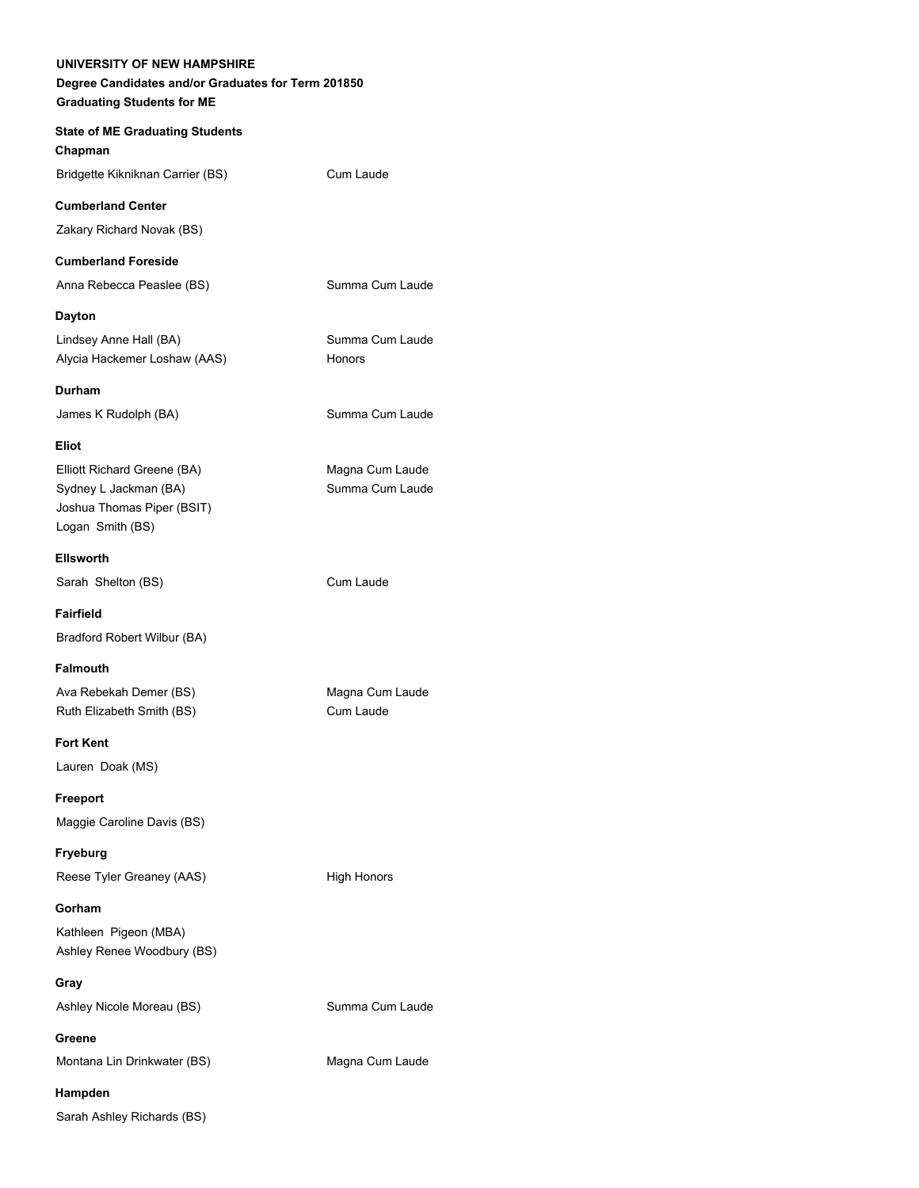**UNIVERSITY OF NEW HAMPSHIRE Degree Candidates and/or Graduates for Term 201850 Graduating Students for ME State of ME Graduating Students Chapman** Bridgette Kikniknan Carrier (BS) Cum Laude **Cumberland Center** Zakary Richard Novak (BS) **Cumberland Foreside** Anna Rebecca Peaslee (BS) Summa Cum Laude **Dayton** Lindsey Anne Hall (BA) Summa Cum Laude Alycia Hackemer Loshaw (AAS) Honors **Durham** James K Rudolph (BA) Summa Cum Laude **Eliot** Elliott Richard Greene (BA) Magna Cum Laude Sydney L Jackman (BA) Summa Cum Laude Joshua Thomas Piper (BSIT) Logan Smith (BS) **Ellsworth** Sarah Shelton (BS) Cum Laude **Fairfield** Bradford Robert Wilbur (BA) **Falmouth** Ava Rebekah Demer (BS) Magna Cum Laude Ruth Elizabeth Smith (BS) Cum Laude **Fort Kent** Lauren Doak (MS) **Freeport** Maggie Caroline Davis (BS) **Fryeburg** Reese Tyler Greaney (AAS) High Honors **Gorham** Kathleen Pigeon (MBA) Ashley Renee Woodbury (BS) **Gray** Ashley Nicole Moreau (BS) Summa Cum Laude **Greene** Montana Lin Drinkwater (BS) Magna Cum Laude **Hampden** Sarah Ashley Richards (BS)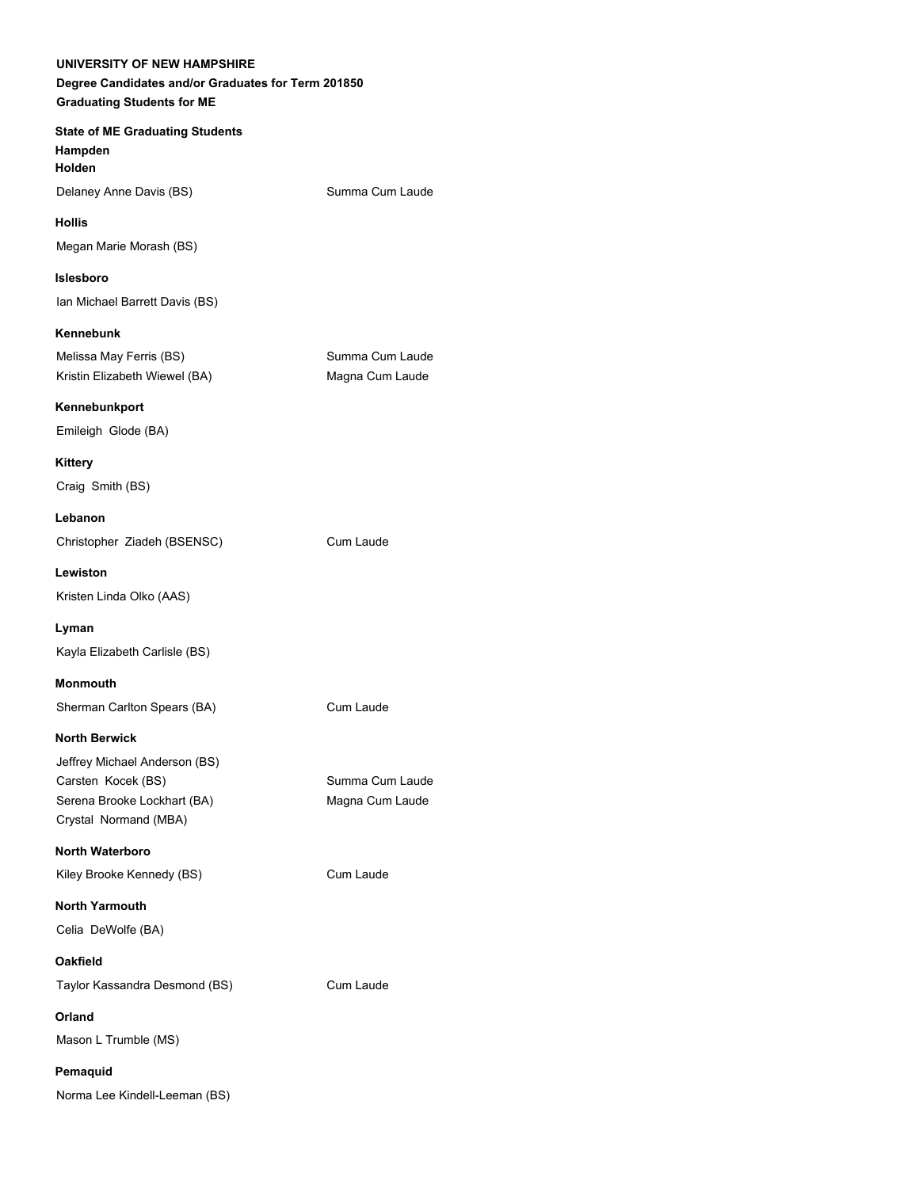| UNIVERSITY OF NEW HAMPSHIRE<br>Degree Candidates and/or Graduates for Term 201850 |                 |
|-----------------------------------------------------------------------------------|-----------------|
| <b>Graduating Students for ME</b>                                                 |                 |
| <b>State of ME Graduating Students</b>                                            |                 |
| Hampden<br><b>Holden</b>                                                          |                 |
| Delaney Anne Davis (BS)                                                           | Summa Cum Laude |
| <b>Hollis</b>                                                                     |                 |
| Megan Marie Morash (BS)                                                           |                 |
| <b>Islesboro</b>                                                                  |                 |
| Ian Michael Barrett Davis (BS)                                                    |                 |
| Kennebunk                                                                         |                 |
| Melissa May Ferris (BS)                                                           | Summa Cum Laude |
| Kristin Elizabeth Wiewel (BA)                                                     | Magna Cum Laude |
| Kennebunkport                                                                     |                 |
| Emileigh Glode (BA)                                                               |                 |
| <b>Kittery</b>                                                                    |                 |
| Craig Smith (BS)                                                                  |                 |
| Lebanon                                                                           |                 |
| Christopher Ziadeh (BSENSC)                                                       | Cum Laude       |
| Lewiston                                                                          |                 |
| Kristen Linda Olko (AAS)                                                          |                 |
| Lyman                                                                             |                 |
| Kayla Elizabeth Carlisle (BS)                                                     |                 |
| <b>Monmouth</b>                                                                   |                 |
| Sherman Carlton Spears (BA)                                                       | Cum Laude       |
| <b>North Berwick</b>                                                              |                 |
| Jeffrey Michael Anderson (BS)                                                     |                 |
| Carsten Kocek (BS)                                                                | Summa Cum Laude |
| Serena Brooke Lockhart (BA)<br>Crystal Normand (MBA)                              | Magna Cum Laude |
| North Waterboro                                                                   |                 |
| Kiley Brooke Kennedy (BS)                                                         | Cum Laude       |
|                                                                                   |                 |
| <b>North Yarmouth</b><br>Celia DeWolfe (BA)                                       |                 |
|                                                                                   |                 |
| <b>Oakfield</b>                                                                   | Cum Laude       |
| Taylor Kassandra Desmond (BS)                                                     |                 |
| Orland                                                                            |                 |
| Mason L Trumble (MS)                                                              |                 |
| Pemaquid                                                                          |                 |
| Norma Lee Kindell-Leeman (BS)                                                     |                 |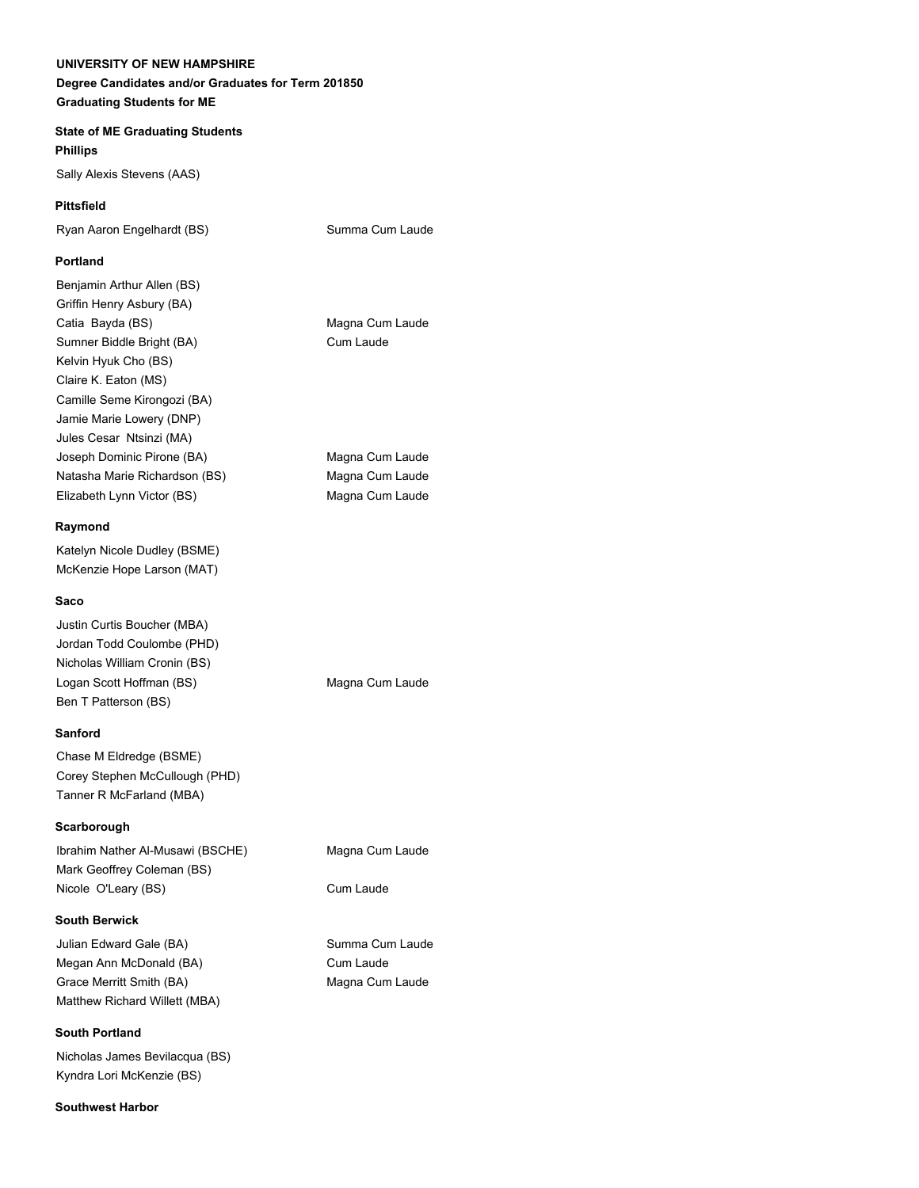# **UNIVERSITY OF NEW HAMPSHIRE Degree Candidates and/or Graduates for Term 201850 Graduating Students for ME**

# **State of ME Graduating Students Phillips**

Sally Alexis Stevens (AAS)

## **Pittsfield**

Ryan Aaron Engelhardt (BS) Summa Cum Laude

#### **Portland**

Benjamin Arthur Allen (BS) Griffin Henry Asbury (BA) Catia Bayda (BS) Magna Cum Laude Sumner Biddle Bright (BA) Cum Laude Kelvin Hyuk Cho (BS) Claire K. Eaton (MS) Camille Seme Kirongozi (BA) Jamie Marie Lowery (DNP) Jules Cesar Ntsinzi (MA) Joseph Dominic Pirone (BA) Magna Cum Laude Natasha Marie Richardson (BS) Magna Cum Laude Elizabeth Lynn Victor (BS) Magna Cum Laude

#### **Raymond**

Katelyn Nicole Dudley (BSME) McKenzie Hope Larson (MAT)

#### **Saco**

Justin Curtis Boucher (MBA) Jordan Todd Coulombe (PHD) Nicholas William Cronin (BS) Logan Scott Hoffman (BS) Magna Cum Laude Ben T Patterson (BS)

#### **Sanford**

Chase M Eldredge (BSME) Corey Stephen McCullough (PHD) Tanner R McFarland (MBA)

#### **Scarborough**

Ibrahim Nather Al-Musawi (BSCHE) Magna Cum Laude Mark Geoffrey Coleman (BS) Nicole O'Leary (BS) Cum Laude

#### **South Berwick**

Julian Edward Gale (BA) Summa Cum Laude Megan Ann McDonald (BA) Cum Laude Grace Merritt Smith (BA) Magna Cum Laude Matthew Richard Willett (MBA)

#### **South Portland**

Nicholas James Bevilacqua (BS) Kyndra Lori McKenzie (BS)

#### **Southwest Harbor**